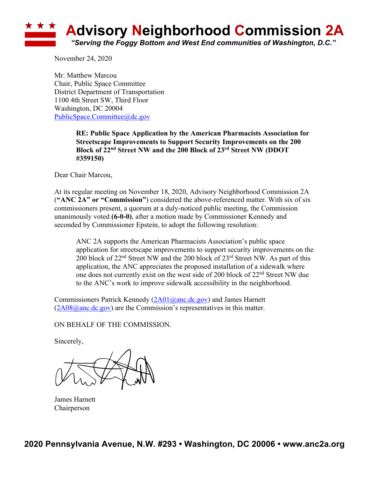## **Advisory Neighborhood Commission 2A** *"Serving the Foggy Bottom and West End communities of Washington, D.C."*

November 24, 2020

Mr. Matthew Marcou Chair, Public Space Committee District Department of Transportation 1100 4th Street SW, Third Floor Washington, DC 20004 PublicSpace.Committee@dc.gov

> **RE: Public Space Application by the American Pharmacists Association for Streetscape Improvements to Support Security Improvements on the 200 Block of 22nd Street NW and the 200 Block of 23rd Street NW (DDOT #359150)**

Dear Chair Marcou,

At its regular meeting on November 18, 2020, Advisory Neighborhood Commission 2A (**"ANC 2A" or "Commission"**) considered the above-referenced matter. With six of six commissioners present, a quorum at a duly-noticed public meeting, the Commission unanimously voted **(6-0-0)**, after a motion made by Commissioner Kennedy and seconded by Commissioner Epstein, to adopt the following resolution:

ANC 2A supports the American Pharmacists Association's public space application for streetscape improvements to support security improvements on the 200 block of  $22<sup>nd</sup>$  Street NW and the 200 block of  $23<sup>rd</sup>$  Street NW. As part of this application, the ANC appreciates the proposed installation of a sidewalk where one does not currently exist on the west side of 200 block of  $22<sup>nd</sup>$  Street NW due to the ANC's work to improve sidewalk accessibility in the neighborhood.

Commissioners Patrick Kennedy (2A01@anc.dc.gov) and James Harnett  $(2A08@anc.de.gov)$  are the Commission's representatives in this matter.

ON BEHALF OF THE COMMISSION.

Sincerely,

James Harnett Chairperson